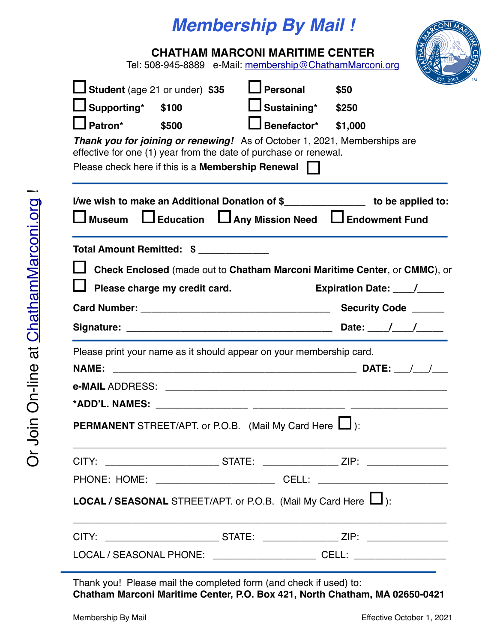# *Membership By Mail !*

| NIMAR                |           |
|----------------------|-----------|
|                      |           |
| K (Tec <sub>am</sub> |           |
|                      |           |
|                      |           |
| EST.<br>2002         | <b>TM</b> |

| <b>CHATHAM MARCONI MARITIME CENTER</b><br>Tel: 508-945-8889 e-Mail: membership@ChathamMarconi.org |                               |                                                                                                                                                                                                                  |                                                                                                                                                                   |  |
|---------------------------------------------------------------------------------------------------|-------------------------------|------------------------------------------------------------------------------------------------------------------------------------------------------------------------------------------------------------------|-------------------------------------------------------------------------------------------------------------------------------------------------------------------|--|
| <b>LJ Student</b> (age 21 or under) \$35<br>Supporting* \$100<br>$\Box$ Patron*                   | \$500                         | $\Box$ Personal<br>$\Box$ Sustaining* \$250<br>$\Box$ Benefactor* \$1,000<br>effective for one (1) year from the date of purchase or renewal.<br>Please check here if this is a <b>Membership Renewal</b> $\Box$ | \$50<br>Thank you for joining or renewing! As of October 1, 2021, Memberships are                                                                                 |  |
|                                                                                                   |                               |                                                                                                                                                                                                                  | I/we wish to make an Additional Donation of \$_________________ to be applied to:<br>$\Box$ Museum $\Box$ Education $\Box$ Any Mission Need $\Box$ Endowment Fund |  |
| Total Amount Remitted: \$                                                                         | Please charge my credit card. |                                                                                                                                                                                                                  | Check Enclosed (made out to Chatham Marconi Maritime Center, or CMMC), or<br>Expiration Date: ____/____                                                           |  |
|                                                                                                   |                               |                                                                                                                                                                                                                  |                                                                                                                                                                   |  |
| <b>NAME:</b>                                                                                      |                               | Please print your name as it should appear on your membership card.                                                                                                                                              |                                                                                                                                                                   |  |
|                                                                                                   |                               |                                                                                                                                                                                                                  |                                                                                                                                                                   |  |
|                                                                                                   |                               | <b>PERMANENT</b> STREET/APT. or P.O.B. (Mail My Card Here $\Box$ ):                                                                                                                                              |                                                                                                                                                                   |  |
|                                                                                                   |                               |                                                                                                                                                                                                                  | CITY: ________________________________STATE: ____________________ZIP: __________________                                                                          |  |
|                                                                                                   |                               |                                                                                                                                                                                                                  | PHONE: HOME: ___________________________________CELL: __________________________                                                                                  |  |
|                                                                                                   |                               | <b>LOCAL / SEASONAL</b> STREET/APT. or P.O.B. (Mail My Card Here $\Box$ ):                                                                                                                                       |                                                                                                                                                                   |  |
|                                                                                                   |                               |                                                                                                                                                                                                                  | CITY: _________________________________STATE: ____________________ZIP: _____________________________                                                              |  |
|                                                                                                   |                               |                                                                                                                                                                                                                  | LOCAL / SEASONAL PHONE: _______________________________CELL: ___________________                                                                                  |  |

Thank you! Please mail the completed form (and check if used) to: **Chatham Marconi Maritime Center, P.O. Box 421, North Chatham, MA 02650-0421**